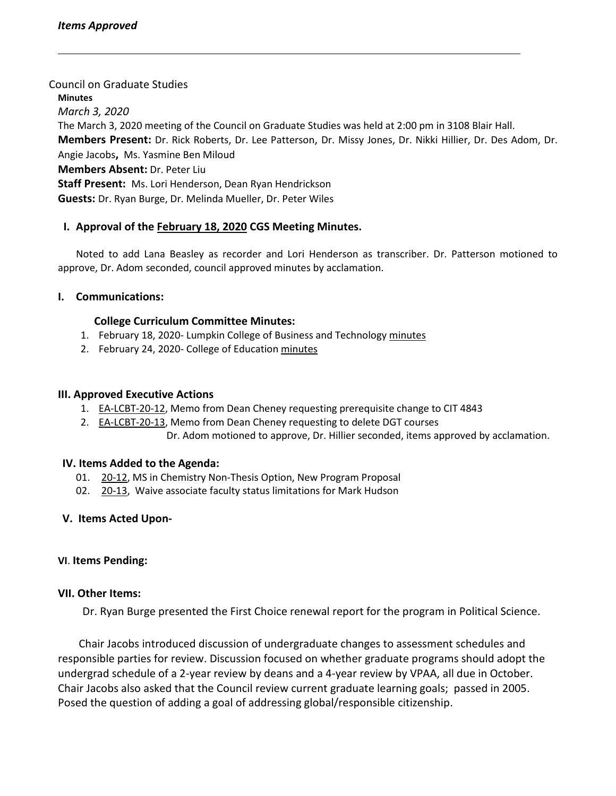Council on Graduate Studies **Minutes** *March 3, 2020* The March 3, 2020 meeting of the Council on Graduate Studies was held at 2:00 pm in 3108 Blair Hall. **Members Present:** Dr. Rick Roberts, Dr. Lee Patterson, Dr. Missy Jones, Dr. Nikki Hillier, Dr. Des Adom, Dr. Angie Jacobs**,** Ms. Yasmine Ben Miloud **Members Absent:** Dr. Peter Liu **Staff Present:** Ms. Lori Henderson, Dean Ryan Hendrickson **Guests:** Dr. Ryan Burge, Dr. Melinda Mueller, Dr. Peter Wiles

# **I. Approval of th[e February 18, 2020](https://castle.eiu.edu/eiucgs/currentminutes/Minutes2-18-20.pdf) CGS Meeting Minutes.**

Noted to add Lana Beasley as recorder and Lori Henderson as transcriber. Dr. Patterson motioned to approve, Dr. Adom seconded, council approved minutes by acclamation.

## **I. Communications:**

## **College Curriculum Committee Minutes:**

- 1. February 18, 2020- Lumpkin College of Business and Technology [minutes](https://www.eiu.edu/lumpkin/curriculum/lcbatcurrmin20200218.pdf)
- 2. February 24, 2020- College of Education [minutes](https://www.eiu.edu/coe/ay20192020/supportdocs/feb/coe_curr_minutes_02242020.pdf)

### **III. Approved Executive Actions**

- 1. [EA-LCBT-20-12,](https://castle.eiu.edu/eiucgs/exec-actions/EA-LCBT-20-12.pdf) Memo from Dean Cheney requesting prerequisite change to CIT 4843
- 2. [EA-LCBT-20-13,](https://castle.eiu.edu/eiucgs/exec-actions/EA-LCBT-20-13.pdf) Memo from Dean Cheney requesting to delete DGT courses

Dr. Adom motioned to approve, Dr. Hillier seconded, items approved by acclamation.

### **IV. Items Added to the Agenda:**

- 01. [20-12,](http://castle.eiu.edu/eiucgs/currentagendaitems/agenda20-12.pdf) MS in Chemistry Non-Thesis Option, New Program Proposal
- 02. [20-13,](http://castle.eiu.edu/eiucgs/currentagendaitems/agenda20-13.pdf) Waive associate faculty status limitations for Mark Hudson

# **V. Items Acted Upon-**

### **VI**. **Items Pending:**

### **VII. Other Items:**

Dr. Ryan Burge presented the First Choice renewal report for the program in Political Science.

Chair Jacobs introduced discussion of undergraduate changes to assessment schedules and responsible parties for review. Discussion focused on whether graduate programs should adopt the undergrad schedule of a 2-year review by deans and a 4-year review by VPAA, all due in October. Chair Jacobs also asked that the Council review current graduate learning goals; passed in 2005. Posed the question of adding a goal of addressing global/responsible citizenship.